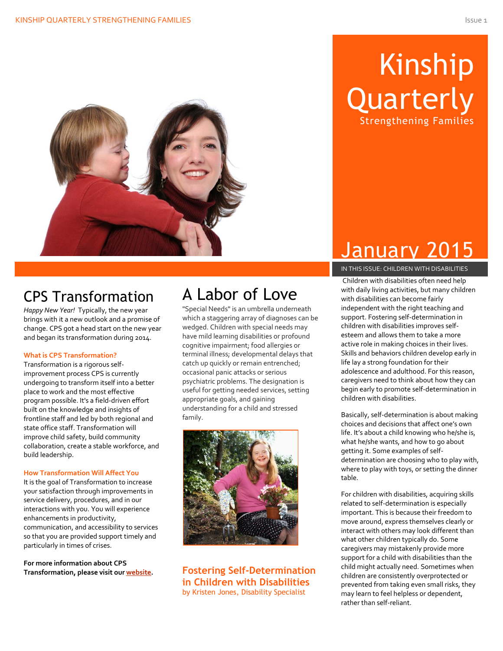

## Kinship **Quarterly** Strengthening Families

### CPS Transformation

*Happy New Year!* Typically, the new year brings with it a new outlook and a promise of change. CPS got a head start on the new year and began its transformation during 2014.

#### **What is CPS Transformation?**

Transformation is a rigorous selfimprovement process CPS is currently undergoing to transform itself into a better place to work and the most effective program possible. It's a field-driven effort built on the knowledge and insights of frontline staff and led by both regional and state office staff. Transformation will improve child safety, build community collaboration, create a stable workforce, and build leadership.

#### **How Transformation Will Affect You**

It is the goal of Transformation to increase your satisfaction through improvements in service delivery, procedures, and in our interactions with you. You will experience enhancements in productivity, communication, and accessibility to services so that you are provided support timely and particularly in times of crises.

**For more information about CPS Transformation, please visit our [website.](http://www.dfps.state.tx.us/child_protection/About_Child_Protective_Services/transformation.asp)**

### A Labor of Love

"Special Needs" is an umbrella underneath which a staggering array of diagnoses can be wedged. Children with special needs may have mild learning disabilities or profound cognitive impairment; food allergies or terminal illness; developmental delays that catch up quickly or remain entrenched; occasional panic attacks or serious psychiatric problems. The designation is useful for getting needed services, setting appropriate goals, and gaining understanding for a child and stressed family.



**Fostering Self-Determination in Children with Disabilities** by Kristen Jones, Disability Specialist

## January 2015

#### IN THIS ISSUE: CHILDREN WITH DISABILITIES

Children with disabilities often need help with daily living activities, but many children with disabilities can become fairly independent with the right teaching and support. Fostering self-determination in children with disabilities improves selfesteem and allows them to take a more active role in making choices in their lives. Skills and behaviors children develop early in life lay a strong foundation for their adolescence and adulthood. For this reason, caregivers need to think about how they can begin early to promote self-determination in children with disabilities.

Basically, self-determination is about making choices and decisions that affect one's own life. It's about a child knowing who he/she is, what he/she wants, and how to go about getting it. Some examples of selfdetermination are choosing who to play with, where to play with toys, or setting the dinner table.

For children with disabilities, acquiring skills related to self-determination is especially important. This is because their freedom to move around, express themselves clearly or interact with others may look different than what other children typically do. Some caregivers may mistakenly provide more support for a child with disabilities than the child might actually need. Sometimes when children are consistently overprotected or prevented from taking even small risks, they may learn to feel helpless or dependent, rather than self-reliant.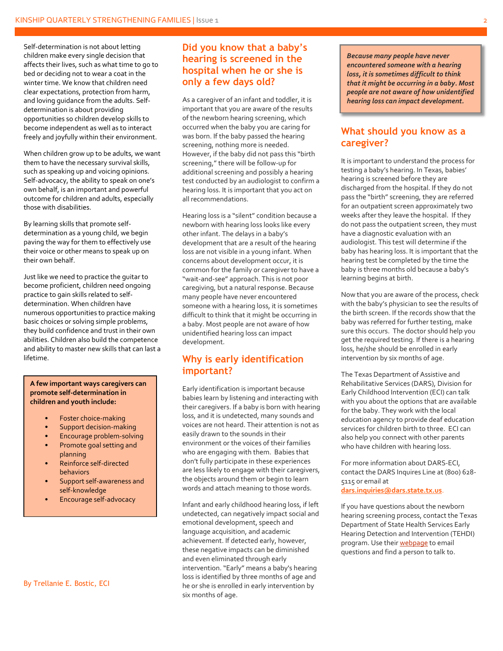Self-determination is not about letting children make every single decision that affects their lives, such as what time to go to bed or deciding not to wear a coat in the winter time. We know that children need clear expectations, protection from harm, and loving guidance from the adults. Selfdetermination is about providing opportunities so children develop skills to become independent as well as to interact freely and joyfully within their environment.

When children grow up to be adults, we want them to have the necessary survival skills, such as speaking up and voicing opinions. Self-advocacy, the ability to speak on one's own behalf, is an important and powerful outcome for children and adults, especially those with disabilities.

By learning skills that promote selfdetermination as a young child, we begin paving the way for them to effectively use their voice or other means to speak up on their own behalf.

Just like we need to practice the guitar to become proficient, children need ongoing practice to gain skills related to selfdetermination. When children have numerous opportunities to practice making basic choices or solving simple problems, they build confidence and trust in their own abilities. Children also build the competence and ability to master new skills that can last a lifetime.

#### **For more self-determination in detail children and youth include:**  $\qquad \qquad$ **A few important ways caregivers can**

• Foster choice-making

**Section of this newsletter.**

- **Women Support decision-making**
- **FREADING AT A FILTE AT A ENCOURAGE PROPERTY AT A FILTE AT A FILTE AT A FILTE A**
- **e** Promote goal setting and planning
	- Reinforce self-directed behaviors
	- Support self-awareness and self-knowledge
	- Encourage self-advocacy

#### By Trellanie E. Bostic, ECI

#### **Did you know that a baby's hearing is screened in the hospital when he or she is only a few days old?**

As a caregiver of an infant and toddler, it is important that you are aware of the results of the newborn hearing screening, which occurred when the baby you are caring for was born. If the baby passed the hearing screening, nothing more is needed. However, if the baby did not pass this "birth screening," there will be follow-up for additional screening and possibly a hearing test conducted by an audiologist to confirm a hearing loss. It is important that you act on all recommendations.

Hearing loss is a "silent" condition because a newborn with hearing loss looks like every other infant. The delays in a baby's development that are a result of the hearing loss are not visible in a young infant. When concerns about development occur, it is common for the family or caregiver to have a "wait-and-see" approach. This is not poor caregiving, but a natural response. Because many people have never encountered someone with a hearing loss, it is sometimes difficult to think that it might be occurring in a baby. Most people are not aware of how unidentified hearing loss can impact development.

#### **Why is early identification important?**

Early identification is important because babies learn by listening and interacting with their caregivers. If a baby is born with hearing loss, and it is undetected, many sounds and voices are not heard. Their attention is not as easily drawn to the sounds in their environment or the voices of their families who are engaging with them. Babies that don't fully participate in these experiences are less likely to engage with their caregivers, the objects around them or begin to learn words and attach meaning to those words.

Infant and early childhood hearing loss, if left undetected, can negatively impact social and emotional development, speech and language acquisition, and academic achievement. If detected early, however, these negative impacts can be diminished and even eliminated through early intervention. "Early" means a baby's hearing loss is identified by three months of age and he or she is enrolled in early intervention by six months of age.

*Because many people have never encountered someone with a hearing loss, it is sometimes difficult to think that it might be occurring in a baby. Most people are not aware of how unidentified hearing loss can impact development.*

#### **What should you know as a caregiver?**

It is important to understand the process for testing a baby's hearing. In Texas, babies' hearing is screened before they are discharged from the hospital. If they do not pass the "birth" screening, they are referred for an outpatient screen approximately two weeks after they leave the hospital. If they do not pass the outpatient screen, they must have a diagnostic evaluation with an audiologist. This test will determine if the baby has hearing loss. It is important that the hearing test be completed by the time the baby is three months old because a baby's learning begins at birth.

Now that you are aware of the process, check with the baby's physician to see the results of the birth screen. If the records show that the baby was referred for further testing, make sure this occurs. The doctor should help you get the required testing. If there is a hearing loss, he/she should be enrolled in early intervention by six months of age.

The Texas Department of Assistive and Rehabilitative Services (DARS), Division for Early Childhood Intervention (ECI) can talk with you about the options that are available for the baby. They work with the local education agency to provide deaf education services for children birth to three. ECI can also help you connect with other parents who have children with hearing loss.

For more information about DARS-ECI, contact the DARS Inquires Line at (800) 628- 5115 or email at

**[dars.inquiries@dars.state.tx.us](mailto:dars.inquiries@dars.state.tx.us)**.

If you have questions about the newborn hearing screening process, contact the Texas Department of State Health Services Early Hearing Detection and Intervention (TEHDI) program. Use thei[r webpage](http://www.dshs.state.tx.us/tehdi/Contact-Experts.aspx.) to email questions and find a person to talk to.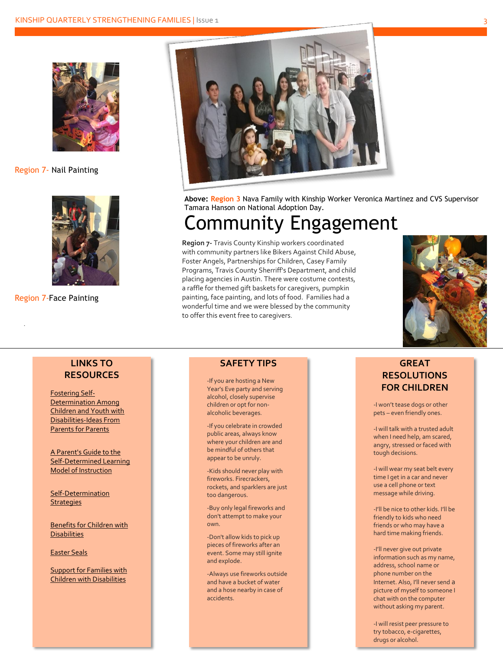

Region 7- Nail Painting



Region 7-Face Painting

.



**Above: Region 3** Nava Family with Kinship Worker Veronica Martinez and CVS Supervisor Tamara Hanson on National Adoption Day.

## Community Engagement

**Region 7-** Travis County Kinship workers coordinated with community partners like Bikers Against Child Abuse, Foster Angels, Partnerships for Children, Casey Family Programs, Travis County Sherriff's Department, and child placing agencies in Austin. There were costume contests, a raffle for themed gift baskets for caregivers, pumpkin painting, face painting, and lots of food. Families had a wonderful time and we were blessed by the community to offer this event free to caregivers.



#### **LINKS TO RESOURCES**

[Fostering Self-](http://www1.aasd.k12.wi.us/SP/DEPT/STUDENTSERVICES/DOCUMENTS/FOSTERINGSELFDETERMINATION.PDF)[Determination Among](http://www1.aasd.k12.wi.us/SP/DEPT/STUDENTSERVICES/DOCUMENTS/FOSTERINGSELFDETERMINATION.PDF)  [Children and Youth with](http://www1.aasd.k12.wi.us/SP/DEPT/STUDENTSERVICES/DOCUMENTS/FOSTERINGSELFDETERMINATION.PDF)  [Disabilities-Ideas From](http://www1.aasd.k12.wi.us/SP/DEPT/STUDENTSERVICES/DOCUMENTS/FOSTERINGSELFDETERMINATION.PDF)  [Parents for Parents](http://www1.aasd.k12.wi.us/SP/DEPT/STUDENTSERVICES/DOCUMENTS/FOSTERINGSELFDETERMINATION.PDF)

[A Parent's Guide to the](http://www.beachcenter.org/RESOURCE_LIBRARY/BEACH_RESOURCE_DETAIL_PAGE.ASPX?INTRESOURCEID=2505&TYPE=BOOK)  [Self-Determined Learning](http://www.beachcenter.org/RESOURCE_LIBRARY/BEACH_RESOURCE_DETAIL_PAGE.ASPX?INTRESOURCEID=2505&TYPE=BOOK)  [Model of Instruction](http://www.beachcenter.org/RESOURCE_LIBRARY/BEACH_RESOURCE_DETAIL_PAGE.ASPX?INTRESOURCEID=2505&TYPE=BOOK)

[Self-Determination](http://www.txautism.net/UPLOADS/TARGET/SELFDETERMINATION.PDF)  **[Strategies](http://www.txautism.net/UPLOADS/TARGET/SELFDETERMINATION.PDF)** 

[Benefits for Children with](http://www.ssa.gov/pubs/EN-05-10026.pdf)  **[Disabilities](http://www.ssa.gov/pubs/EN-05-10026.pdf)** 

[Easter Seals](http://www.easterseals.com/centraltx/)

[Support for Families with](http://www.supportforfamilies.org/internetguide/)  [Children with Disabilities](http://www.supportforfamilies.org/internetguide/)

#### **SAFETY TIPS**

-If you are hosting a New Year's Eve party and serving alcohol, closely supervise children or opt for nonalcoholic beverages.

-If you celebrate in crowded public areas, always know where your children are and be mindful of others that appear to be unruly.

-Kids should never play with fireworks. Firecrackers, rockets, and sparklers are just too dangerous.

-Buy only legal fireworks and don't attempt to make your own.

-Don't allow kids to pick up pieces of fireworks after an event. Some may still ignite and explode.

-Always use fireworks outside and have a bucket of water and a hose nearby in case of accidents.

#### **GREAT RESOLUTIONS FOR CHILDREN**

-I won't tease dogs or other pets – even friendly ones.

-I will talk with a trusted adult when I need help, am scared, angry, stressed or faced with tough decisions.

-I will wear my seat belt every time I get in a car and never use a cell phone or text message while driving.

-I'll be nice to other kids. I'll be friendly to kids who need friends or who may have a hard time making friends.

-I'll never give out private information such as my name, address, school name or phone number on the Internet. Also, I'll never send a picture of myself to someone I chat with on the computer without asking my parent.

-I will resist peer pressure to try tobacco, e-cigarettes, drugs or alcohol.